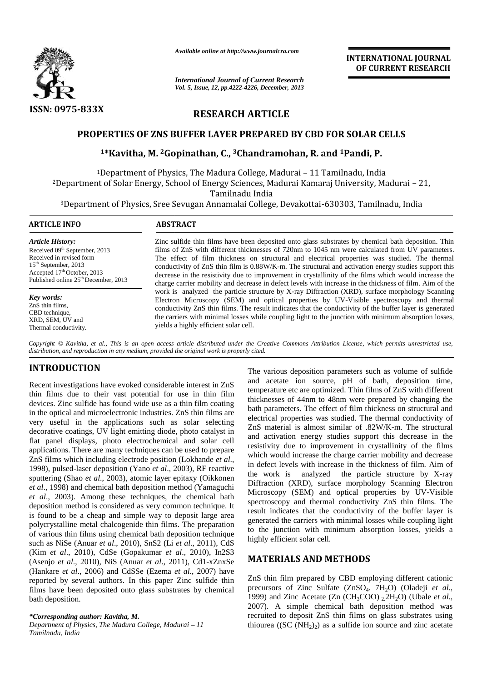

*Available online at http://www.journalcra.com*

# **RESEARCH ARTICLE**

### **PROPERTIES OF ZNS BUFFER LAYER PREPARED BY CBD FOR SOLAR CELLS**

### **<sup>1</sup>\*Kavitha, M. <sup>2</sup>Gopinathan, C., <sup>3</sup>Chandramohan, R. and <sup>1</sup>Pandi, P. <sup>3</sup>Chandramohan,**

|                                                                                                                                                                                                                                                                                                                                                                                                                                                                                                                                                                                                                                                                                                                                                                                                                                                                                                                                                                                                                                                                                                                                                                                                                                                                                                                                                                                                                                                                     | Available online at http://www.journalcra.com                                                       |                                                                                                                 | <b>INTERNATIONAL JOURNAL</b>                                                                                                                                                                                                                                                                                                                                                                                                                                                                                                                                                                                                                                                                                                                                                                                                                                                                                                                                                                                                                                                                                                                                                                               |
|---------------------------------------------------------------------------------------------------------------------------------------------------------------------------------------------------------------------------------------------------------------------------------------------------------------------------------------------------------------------------------------------------------------------------------------------------------------------------------------------------------------------------------------------------------------------------------------------------------------------------------------------------------------------------------------------------------------------------------------------------------------------------------------------------------------------------------------------------------------------------------------------------------------------------------------------------------------------------------------------------------------------------------------------------------------------------------------------------------------------------------------------------------------------------------------------------------------------------------------------------------------------------------------------------------------------------------------------------------------------------------------------------------------------------------------------------------------------|-----------------------------------------------------------------------------------------------------|-----------------------------------------------------------------------------------------------------------------|------------------------------------------------------------------------------------------------------------------------------------------------------------------------------------------------------------------------------------------------------------------------------------------------------------------------------------------------------------------------------------------------------------------------------------------------------------------------------------------------------------------------------------------------------------------------------------------------------------------------------------------------------------------------------------------------------------------------------------------------------------------------------------------------------------------------------------------------------------------------------------------------------------------------------------------------------------------------------------------------------------------------------------------------------------------------------------------------------------------------------------------------------------------------------------------------------------|
|                                                                                                                                                                                                                                                                                                                                                                                                                                                                                                                                                                                                                                                                                                                                                                                                                                                                                                                                                                                                                                                                                                                                                                                                                                                                                                                                                                                                                                                                     | <b>International Journal of Current Research</b><br>Vol. 5, Issue, 12, pp.4222-4226, December, 2013 |                                                                                                                 | OF CURRENT RESEARCH                                                                                                                                                                                                                                                                                                                                                                                                                                                                                                                                                                                                                                                                                                                                                                                                                                                                                                                                                                                                                                                                                                                                                                                        |
| ISSN: 0975-833X                                                                                                                                                                                                                                                                                                                                                                                                                                                                                                                                                                                                                                                                                                                                                                                                                                                                                                                                                                                                                                                                                                                                                                                                                                                                                                                                                                                                                                                     | <b>RESEARCH ARTICLE</b>                                                                             |                                                                                                                 |                                                                                                                                                                                                                                                                                                                                                                                                                                                                                                                                                                                                                                                                                                                                                                                                                                                                                                                                                                                                                                                                                                                                                                                                            |
|                                                                                                                                                                                                                                                                                                                                                                                                                                                                                                                                                                                                                                                                                                                                                                                                                                                                                                                                                                                                                                                                                                                                                                                                                                                                                                                                                                                                                                                                     |                                                                                                     | <b>PROPERTIES OF ZNS BUFFER LAYER PREPARED BY CBD FOR SOLAR CELLS</b>                                           |                                                                                                                                                                                                                                                                                                                                                                                                                                                                                                                                                                                                                                                                                                                                                                                                                                                                                                                                                                                                                                                                                                                                                                                                            |
|                                                                                                                                                                                                                                                                                                                                                                                                                                                                                                                                                                                                                                                                                                                                                                                                                                                                                                                                                                                                                                                                                                                                                                                                                                                                                                                                                                                                                                                                     |                                                                                                     | <sup>1</sup> *Kavitha, M. <sup>2</sup> Gopinathan, C., <sup>3</sup> Chandramohan, R. and <sup>1</sup> Pandi, P. |                                                                                                                                                                                                                                                                                                                                                                                                                                                                                                                                                                                                                                                                                                                                                                                                                                                                                                                                                                                                                                                                                                                                                                                                            |
| <sup>2</sup> Department of Solar Energy, School of Energy Sciences, Madurai Kamaraj University, Madurai - 21,                                                                                                                                                                                                                                                                                                                                                                                                                                                                                                                                                                                                                                                                                                                                                                                                                                                                                                                                                                                                                                                                                                                                                                                                                                                                                                                                                       |                                                                                                     | <sup>1</sup> Department of Physics, The Madura College, Madurai - 11 Tamilnadu, India<br>Tamilnadu India        |                                                                                                                                                                                                                                                                                                                                                                                                                                                                                                                                                                                                                                                                                                                                                                                                                                                                                                                                                                                                                                                                                                                                                                                                            |
| <sup>3</sup> Department of Physics, Sree Sevugan Annamalai College, Devakottai-630303, Tamilnadu, India<br><b>ARTICLE INFO</b>                                                                                                                                                                                                                                                                                                                                                                                                                                                                                                                                                                                                                                                                                                                                                                                                                                                                                                                                                                                                                                                                                                                                                                                                                                                                                                                                      | <b>ABSTRACT</b>                                                                                     |                                                                                                                 |                                                                                                                                                                                                                                                                                                                                                                                                                                                                                                                                                                                                                                                                                                                                                                                                                                                                                                                                                                                                                                                                                                                                                                                                            |
| Received in revised form<br>15 <sup>th</sup> September, 2013<br>Accepted $17th$ October, 2013<br>Published online $25th$ December, 2013<br>Key words:<br>ZnS thin films,<br>CBD technique,<br>XRD, SEM, UV and<br>Thermal conductivity.<br>Copyright © Kavitha, et al., This is an open access article distributed under the Creative Commons Attribution License, which permits unrestricted use,                                                                                                                                                                                                                                                                                                                                                                                                                                                                                                                                                                                                                                                                                                                                                                                                                                                                                                                                                                                                                                                                  | yields a highly efficient solar cell.                                                               |                                                                                                                 | The effect of film thickness on structural and electrical properties was studied. The thermal<br>conductivity of ZnS thin film is 0.88W/K-m. The structural and activation energy studies support this<br>decrease in the resistivity due to improvement in crystallinity of the films which would increase the<br>charge carrier mobility and decrease in defect levels with increase in the thickness of film. Aim of the<br>work is analyzed the particle structure by X-ray Diffraction (XRD), surface morphology Scanning<br>Electron Microscopy (SEM) and optical properties by UV-Visible spectroscopy and thermal<br>conductivity ZnS thin films. The result indicates that the conductivity of the buffer layer is generated<br>the carriers with minimal losses while coupling light to the junction with minimum absorption losses,                                                                                                                                                                                                                                                                                                                                                             |
| distribution, and reproduction in any medium, provided the original work is properly cited.<br><b>INTRODUCTION</b>                                                                                                                                                                                                                                                                                                                                                                                                                                                                                                                                                                                                                                                                                                                                                                                                                                                                                                                                                                                                                                                                                                                                                                                                                                                                                                                                                  |                                                                                                     |                                                                                                                 |                                                                                                                                                                                                                                                                                                                                                                                                                                                                                                                                                                                                                                                                                                                                                                                                                                                                                                                                                                                                                                                                                                                                                                                                            |
| Recent investigations have evoked considerable interest in ZnS<br>thin films due to their vast potential for use in thin film<br>devices. Zinc sulfide has found wide use as a thin film coating<br>in the optical and microelectronic industries. ZnS thin films are<br>very useful in the applications such as solar selecting<br>decorative coatings, UV light emitting diode, photo catalyst in<br>flat panel displays, photo electrochemical and solar cell<br>applications. There are many techniques can be used to prepare<br>ZnS films which including electrode position (Lokhande et al.,<br>1998), pulsed-laser deposition (Yano et al., 2003), RF reactive<br>sputtering (Shao et al., 2003), atomic layer epitaxy (Oikkonen<br>et al., 1998) and chemical bath deposition method (Yamaguchi<br>et al., 2003). Among these techniques, the chemical bath<br>deposition method is considered as very common technique. It<br>is found to be a cheap and simple way to deposit large area<br>polycrystalline metal chalcogenide thin films. The preparation<br>of various thin films using chemical bath deposition technique<br>such as NiSe (Anuar et al., 2010), SnS2 (Li et al., 2011), CdS<br>(Kim et al., 2010), CdSe (Gopakumar et al., 2010), In2S3<br>(Asenjo et al., 2010), NiS (Anuar et al., 2011), Cd1-xZnxSe<br>(Hankare et al., 2006) and CdSSe (Ezema et al., 2007) have<br>reported by several authors. In this paper Zinc sulfide thin |                                                                                                     | analyzed<br>the work is<br>highly efficient solar cell.<br><b>MATERIALS AND METHODS</b>                         | The various deposition parameters such as volume of sulfide<br>and acetate ion source, pH of bath, deposition time,<br>temperature etc are optimized. Thin films of ZnS with different<br>thicknesses of 44nm to 48nm were prepared by changing the<br>bath parameters. The effect of film thickness on structural and<br>electrical properties was studied. The thermal conductivity of<br>ZnS material is almost similar of .82W/K-m. The structural<br>and activation energy studies support this decrease in the<br>resistivity due to improvement in crystallinity of the films<br>which would increase the charge carrier mobility and decrease<br>in defect levels with increase in the thickness of film. Aim of<br>the particle structure by X-ray<br>Diffraction (XRD), surface morphology Scanning Electron<br>Microscopy (SEM) and optical properties by UV-Visible<br>spectroscopy and thermal conductivity ZnS thin films. The<br>result indicates that the conductivity of the buffer layer is<br>generated the carriers with minimal losses while coupling light<br>to the junction with minimum absorption losses, yields a<br>ZnS thin film prepared by CBD employing different cationic |
| films have been deposited onto glass substrates by chemical<br>bath deposition.<br>*Corresponding author: Kavitha, M.<br>Department of Physics, The Madura College, Madurai - 11                                                                                                                                                                                                                                                                                                                                                                                                                                                                                                                                                                                                                                                                                                                                                                                                                                                                                                                                                                                                                                                                                                                                                                                                                                                                                    |                                                                                                     |                                                                                                                 | precursors of Zinc Sulfate (ZnSO <sub>4</sub> . 7H <sub>2</sub> O) (Oladeji et al.,<br>1999) and Zinc Acetate (Zn $(CH_3COO)$ <sub>2.</sub> 2H <sub>2</sub> O) (Ubale et al.,<br>2007). A simple chemical bath deposition method was<br>recruited to deposit ZnS thin films on glass substrates using<br>thiourea ((SC $(NH2)2$ ) as a sulfide ion source and zinc acetate                                                                                                                                                                                                                                                                                                                                                                                                                                                                                                                                                                                                                                                                                                                                                                                                                                 |

## **INTRODUCTION**

*\*Corresponding author: Kavitha, M. Department of Physics, The Madura College, Madurai – 11 Tamilnadu, India*

### **MATERIALS AND METHODS**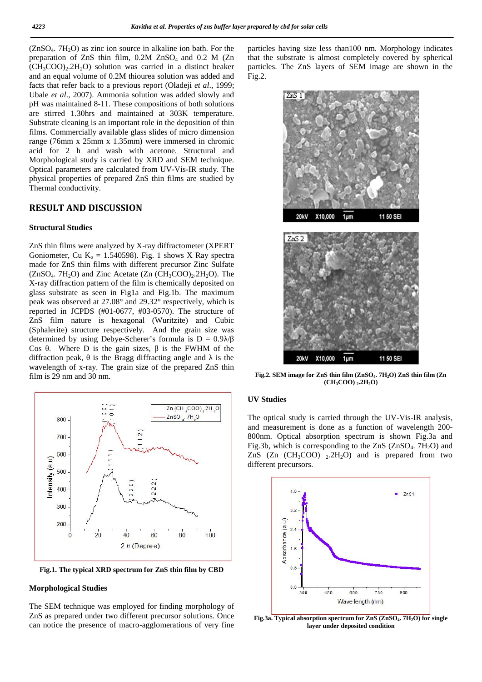$(ZnSO<sub>4</sub>$ .  $7H<sub>2</sub>O$ ) as zinc ion source in alkaline ion bath. For the preparation of ZnS thin film,  $0.2M$  ZnSO<sub>4</sub> and  $0.2M$  (Zn  $(CH_3COO)_{2.2}H_2O$  solution was carried in a distinct beaker and an equal volume of 0.2M thiourea solution was added and facts that refer back to a previous report (Oladeji *et al*., 1999; Ubale *et al*., 2007). Ammonia solution was added slowly and pH was maintained 8-11. These compositions of both solutions are stirred 1.30hrs and maintained at 303K temperature. Substrate cleaning is an important role in the deposition of thin films. Commercially available glass slides of micro dimension range (76mm x 25mm x 1.35mm) were immersed in chromic acid for 2 h and wash with acetone. Structural and Morphological study is carried by XRD and SEM technique. Optical parameters are calculated from UV-Vis-IR study. The physical properties of prepared ZnS thin films are studied by Thermal conductivity.

### **RESULT AND DISCUSSION**

### **Structural Studies**

ZnS thin films were analyzed by X-ray diffractometer (XPERT Goniometer, Cu K = 1.540598). Fig. 1 shows X Ray spectra made for ZnS thin films with different precursor Zinc Sulfate  $(ZnSO<sub>4</sub>, 7H<sub>2</sub>O)$  and Zinc Acetate  $(Zn (CH<sub>3</sub>COO)<sub>2</sub>, 2H<sub>2</sub>O)$ . The X-ray diffraction pattern of the film is chemically deposited on glass substrate as seen in Fig1a and Fig.1b. The maximum peak was observed at 27.08° and 29.32° respectively, which is reported in JCPDS (#01-0677, #03-0570). The structure of ZnS film nature is hexagonal (Wuritzite) and Cubic (Sphalerite) structure respectively. And the grain size was determined by using Debye-Scherer's formula is  $D = 0.9$  / Cos. Where D is the gain sizes, is the FWHM of the diffraction peak, is the Bragg diffracting angle and is the wavelength of x-ray. The grain size of the prepared ZnS thin film is 29 nm and 30 nm.



**Fig.1. The typical XRD spectrum for ZnS thin film by CBD**

#### **Morphological Studies**

The SEM technique was employed for finding morphology of ZnS as prepared under two different precursor solutions. Once can notice the presence of macro-agglomerations of very fine particles having size less than100 nm. Morphology indicates that the substrate is almost completely covered by spherical particles. The ZnS layers of SEM image are shown in the Fig.2.



**Fig.2. SEM image for ZnS thin film (ZnSO4. 7H2O) ZnS thin film (Zn (CH3COO) <sup>2</sup>.2H2O)**

#### **UV Studies**

The optical study is carried through the UV-Vis-IR analysis, and measurement is done as a function of wavelength 200- 800nm. Optical absorption spectrum is shown Fig.3a and Fig.3b, which is corresponding to the ZnS  $(ZnSO<sub>4</sub>, 7H<sub>2</sub>O)$  and ZnS (Zn  $(CH_3COO)$ )  $_2.2H_2O$ ) and is prepared from two different precursors.



**Fig.3a. Typical absorption spectrum for ZnS (ZnSO4. 7H2O) for single layer under deposited condition**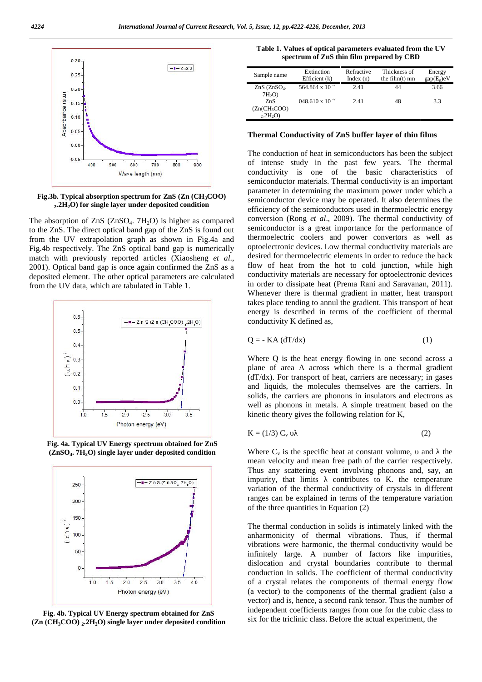

**Fig.3b. Typical absorption spectrum for ZnS (Zn (CH3COO) 2 .2H2O) for single layer under deposited condition**

The absorption of  $ZnS$  ( $ZnSO<sub>4</sub>$ .  $7H<sub>2</sub>O$ ) is higher as compared to the ZnS. The direct optical band gap of the ZnS is found out from the UV extrapolation graph as shown in Fig.4a and Fig.4b respectively. The ZnS optical band gap is numerically match with previously reported articles (Xiaosheng *et al*., 2001). Optical band gap is once again confirmed the ZnS as a deposited element. The other optical parameters are calculated from the UV data, which are tabulated in Table 1.



**Fig. 4a. Typical UV Energy spectrum obtained for ZnS (ZnSO<sup>4</sup> . 7H2O) single layer under deposited condition**



**Fig. 4b. Typical UV Energy spectrum obtained for ZnS (Zn (CH3COO) <sup>2</sup> .2H2O) single layer under deposited condition**

**Table 1. Values of optical parameters evaluated from the UV spectrum of ZnS thin film prepared by CBD**

| Sample name       | Extinction               | Refractive  | Thickness of     | Energy       |
|-------------------|--------------------------|-------------|------------------|--------------|
|                   | Efficient $(k)$          | Index $(n)$ | the $film(t)$ nm | $gap(E_g)eV$ |
| $ZnS$ ( $ZnSO4$ . | 564.864 x 10 $^{-7}$     | 2.41        | 44               | 3.66         |
| $7H_2O$           |                          |             |                  |              |
| ZnS               | $048.610 \times 10^{-7}$ | 2.41        | 48               | 3.3          |
| $(Zn(CH_3COO)$    |                          |             |                  |              |
| $_{2.2}H_{2}O$    |                          |             |                  |              |

### **Thermal Conductivity of ZnS buffer layer of thin films**

The conduction of heat in semiconductors has been the subject of intense study in the past few years. The thermal conductivity is one of the basic characteristics of semiconductor materials. Thermal conductivity is an important parameter in determining the maximum power under which a semiconductor device may be operated. It also determines the efficiency of the semiconductors used in thermoelectric energy conversion (Rong *et al*., 2009). The thermal conductivity of semiconductor is a great importance for the performance of thermoelectric coolers and power convertors as well as optoelectronic devices. Low thermal conductivity materials are desired for thermoelectric elements in order to reduce the back flow of heat from the hot to cold junction, while high conductivity materials are necessary for optoelectronic devices in order to dissipate heat (Prema Rani and Saravanan, 2011). Whenever there is thermal gradient in matter, heat transport takes place tending to annul the gradient. This transport of heat energy is described in terms of the coefficient of thermal conductivity K defined as,

$$
Q = - KA (dT/dx)
$$
 (1)

Where Q is the heat energy flowing in one second across a plane of area A across which there is a thermal gradient  $(dT/dx)$ . For transport of heat, carriers are necessary; in gases and liquids, the molecules themselves are the carriers. In solids, the carriers are phonons in insulators and electrons as well as phonons in metals. A simple treatment based on the kinetic theory gives the following relation for K,

$$
K = (1/3) C_v \tag{2}
$$

Where  $C_v$  is the specific heat at constant volume, and the mean velocity and mean free path of the carrier respectively. Thus any scattering event involving phonons and, say, an impurity, that limits contributes to K. the temperature variation of the thermal conductivity of crystals in different ranges can be explained in terms of the temperature variation of the three quantities in Equation (2)

The thermal conduction in solids is intimately linked with the anharmonicity of thermal vibrations. Thus, if thermal vibrations were harmonic, the thermal conductivity would be infinitely large. A number of factors like impurities, dislocation and crystal boundaries contribute to thermal conduction in solids. The coefficient of thermal conductivity of a crystal relates the components of thermal energy flow (a vector) to the components of the thermal gradient (also a vector) and is, hence, a second rank tensor. Thus the number of independent coefficients ranges from one for the cubic class to six for the triclinic class. Before the actual experiment, the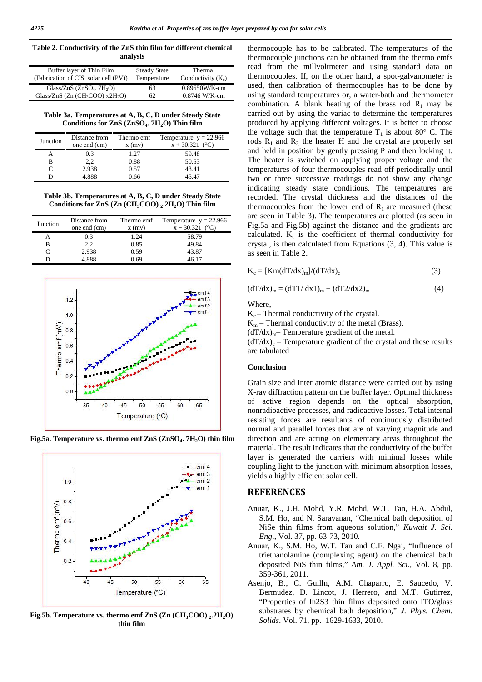**Table 2. Conductivity of the ZnS thin film for different chemical analysis**

| Buffer layer of Thin Film<br>(Fabrication of CIS solar cell (PV)) | <b>Steady State</b><br>Temperature | Thermal<br>Conductivity $(K_c)$ |
|-------------------------------------------------------------------|------------------------------------|---------------------------------|
| Glass/ZnS $(ZnSO4, 7H2O)$                                         | 63                                 | $0.89650W/K-cm$                 |
| Glass/ZnS $(Zn (CH3COO)$ , 2H <sub>2</sub> O)                     | 62                                 | $0.8746$ W/K-cm                 |

**Table 3a. Temperatures at A, B, C, D under Steady State Conditions for ZnS (ZnSO<sup>4</sup> . 7H2O) Thin film**

| Junction | Distance from<br>one end (cm) | Thermo emf<br>$x$ (mv) | Temperature $y = 22.966$<br>$x + 30.321$ (°C) |
|----------|-------------------------------|------------------------|-----------------------------------------------|
|          | 0.3                           | 1.27                   | 59.48                                         |
|          | 2,2                           | 0.88                   | 50.53                                         |
|          | 2.938                         | 0.57                   | 43.41                                         |
|          | 4.888                         | 0.66                   | 45.47                                         |

**Table 3b. Temperatures at A, B, C, D under Steady State Conditions for ZnS (Zn (CH3COO) <sup>2</sup> .2H2O) Thin film**

| Junction | Distance from<br>one end (cm) | Thermo emf<br>$x$ (mv) | Temperature $y = 22.966$<br>$x + 30.321$ (°C) |
|----------|-------------------------------|------------------------|-----------------------------------------------|
|          | 0.3                           | 1.24                   | 58.79                                         |
| В        | 2.2                           | 0.85                   | 49.84                                         |
|          | 2.938                         | 0.59                   | 43.87                                         |
|          | 4.888                         | 0.69                   | 46.17                                         |



**Fig.5a. Temperature vs. thermo emf ZnS (ZnSO<sup>4</sup> . 7H2O) thin film**



**Fig.5b. Temperature vs. thermo emf ZnS (Zn (CH3COO) <sup>2</sup> .2H2O) thin film**

thermocouple has to be calibrated. The temperatures of the thermocouple junctions can be obtained from the thermo emfs read from the millvoltmeter and using standard data on thermocouples. If, on the other hand, a spot-galvanometer is used, then calibration of thermocouples has to be done by using standard temperatures or, a water-bath and thermometer combination. A blank heating of the brass rod  $R_1$  may be carried out by using the variac to determine the temperatures produced by applying different voltages. It is better to choose the voltage such that the temperature  $T_1$  is about 80 $\degree$  C. The rods  $R_1$  and  $R_2$  the heater H and the crystal are properly set and held in position by gently pressing P and then locking it. The heater is switched on applying proper voltage and the temperatures of four thermocouples read off periodically until two or three successive readings do not show any change indicating steady state conditions. The temperatures are recorded. The crystal thickness and the distances of the thermocouples from the lower end of  $R_1$  are measured (these are seen in Table 3). The temperatures are plotted (as seen in Fig.5a and Fig.5b) against the distance and the gradients are calculated.  $K_c$  is the coefficient of thermal conductivity for crystal, is then calculated from Equations (3, 4). This value is as seen in Table 2.

$$
K_c = [Km(dT/dx)_m]/(dT/dx)_c
$$
 (3)

$$
(dT/dx)m = (dT1/dx1)m + (dT2/dx2)m
$$
 (4)

Where,

 $K_c$  – Thermal conductivity of the crystal.

 $K_m$  – Thermal conductivity of the metal (Brass).

 $(dT/dx)_{m}$ – Temperature gradient of the metal.

 $(dT/dx)_c$  – Temperature gradient of the crystal and these results are tabulated

#### **Conclusion**

Grain size and inter atomic distance were carried out by using X-ray diffraction pattern on the buffer layer. Optimal thickness of active region depends on the optical absorption, nonradioactive processes, and radioactive losses. Total internal resisting forces are resultants of continuously distributed normal and parallel forces that are of varying magnitude and direction and are acting on elementary areas throughout the material. The result indicates that the conductivity of the buffer layer is generated the carriers with minimal losses while coupling light to the junction with minimum absorption losses, yields a highly efficient solar cell.

### **REFERENCES**

- Anuar, K., J.H. Mohd, Y.R. Mohd, W.T. Tan, H.A. Abdul, S.M. Ho, and N. Saravanan, "Chemical bath deposition of NiSe thin films from aqueous solution," *Kuwait J. Sci. Eng*., Vol. 37, pp. 63-73, 2010.
- Anuar, K., S.M. Ho, W.T. Tan and C.F. Ngai, "Influence of triethanolamine (complexing agent) on the chemical bath deposited NiS thin films," *Am. J. Appl. Sci*., Vol. 8, pp. 359-361, 2011.
- Asenjo, B., C. Guilln, A.M. Chaparro, E. Saucedo, V. Bermudez, D. Lincot, J. Herrero, and M.T. Gutirrez, "Properties of In2S3 thin films deposited onto ITO/glass substrates by chemical bath deposition," *J. Phys. Chem. Solids*. Vol. 71, pp. 1629-1633, 2010.